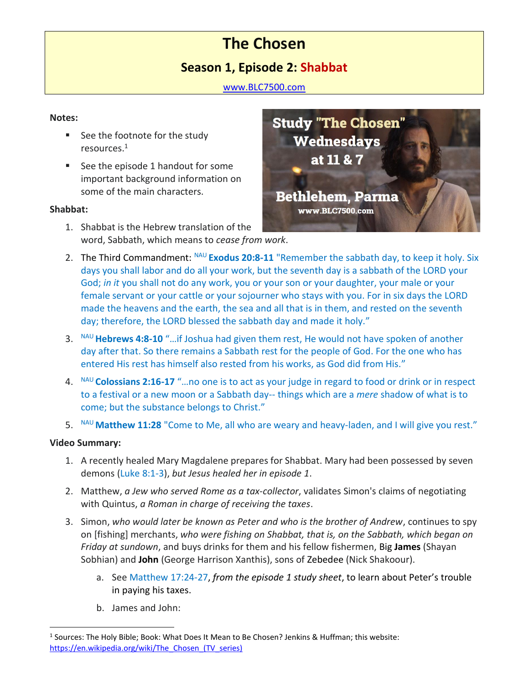# **The Chosen**

# **Season 1, Episode 2: Shabbat**

[www.BLC7500.com](http://www.blc7500.com/)

#### **Notes:**

- See the footnote for the study resources.<sup>1</sup>
- See the episode 1 handout for some important background information on some of the main characters.

#### **Shabbat:**

1. Shabbat is the Hebrew translation of the word, Sabbath, which means to *cease from work*.



- 2. The Third Commandment: NAU **Exodus 20:8-11** "Remember the sabbath day, to keep it holy. Six days you shall labor and do all your work, but the seventh day is a sabbath of the LORD your God; *in it* you shall not do any work, you or your son or your daughter, your male or your female servant or your cattle or your sojourner who stays with you. For in six days the LORD made the heavens and the earth, the sea and all that is in them, and rested on the seventh day; therefore, the LORD blessed the sabbath day and made it holy."
- 3. NAU **Hebrews 4:8-10** "…if Joshua had given them rest, He would not have spoken of another day after that. So there remains a Sabbath rest for the people of God. For the one who has entered His rest has himself also rested from his works, as God did from His."
- 4. NAU **Colossians 2:16-17** "…no one is to act as your judge in regard to food or drink or in respect to a festival or a new moon or a Sabbath day-- things which are a *mere* shadow of what is to come; but the substance belongs to Christ."
- 5. NAU Matthew 11:28 "Come to Me, all who are weary and heavy-laden, and I will give you rest."

## **Video Summary:**

- 1. A recently healed Mary Magdalene prepares for Shabbat. Mary had been possessed by seven demons (Luke 8:1-3), *but Jesus healed her in episode 1*.
- 2. Matthew, *a Jew who served Rome as a tax-collector*, validates Simon's claims of negotiating with Quintus, *a Roman in charge of receiving the taxes*.
- 3. Simon, *who would later be known as Peter and who is the brother of Andrew*, continues to spy on [fishing] merchants, *who were fishing on Shabbat, that is, on the Sabbath, which began on Friday at sundown*, and buys drinks for them and his fellow fishermen, Big **James** (Shayan Sobhian) and **John** (George Harrison Xanthis), sons of Zebedee (Nick Shakoour).
	- a. See Matthew 17:24-27, *from the episode 1 study sheet*, to learn about Peter's trouble in paying his taxes.
	- b. James and John:

<sup>&</sup>lt;sup>1</sup> Sources: The Holy Bible; Book: What Does It Mean to Be Chosen? Jenkins & Huffman; this website: https://en.wikipedia.org/wiki/The Chosen (TV series)